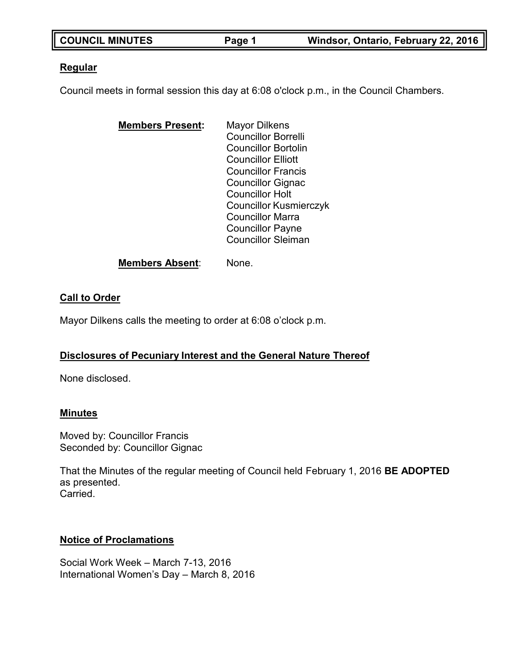| <b>COUNCIL MINUTES</b> | Page 1 | Windsor, Ontario, February 22, 2016 |
|------------------------|--------|-------------------------------------|
|                        |        |                                     |

### **Regular**

Council meets in formal session this day at 6:08 o'clock p.m., in the Council Chambers.

| <b>Mayor Dilkens</b>          |
|-------------------------------|
| <b>Councillor Borrelli</b>    |
| <b>Councillor Bortolin</b>    |
| <b>Councillor Elliott</b>     |
| <b>Councillor Francis</b>     |
| <b>Councillor Gignac</b>      |
| <b>Councillor Holt</b>        |
| <b>Councillor Kusmierczyk</b> |
| <b>Councillor Marra</b>       |
| <b>Councillor Payne</b>       |
| <b>Councillor Sleiman</b>     |
|                               |

#### **Members Absent**: None.

# **Call to Order**

Mayor Dilkens calls the meeting to order at 6:08 o'clock p.m.

# **Disclosures of Pecuniary Interest and the General Nature Thereof**

None disclosed.

#### **Minutes**

Moved by: Councillor Francis Seconded by: Councillor Gignac

That the Minutes of the regular meeting of Council held February 1, 2016 **BE ADOPTED** as presented. Carried.

# **Notice of Proclamations**

Social Work Week – March 7-13, 2016 International Women's Day – March 8, 2016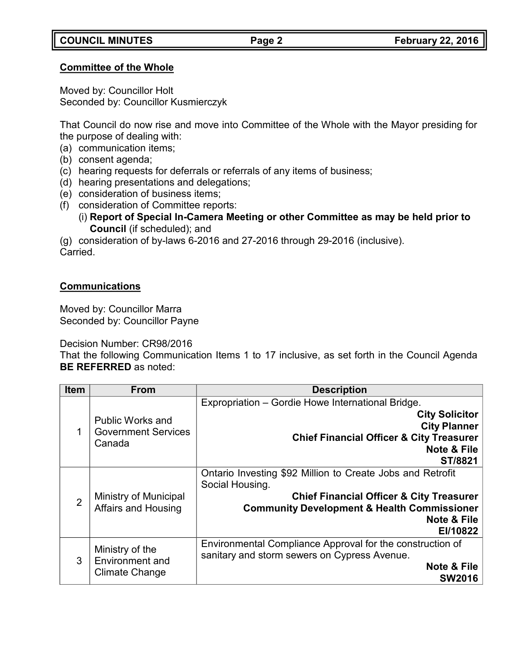### **Committee of the Whole**

Moved by: Councillor Holt Seconded by: Councillor Kusmierczyk

That Council do now rise and move into Committee of the Whole with the Mayor presiding for the purpose of dealing with:

(a) communication items;

- (b) consent agenda;
- (c) hearing requests for deferrals or referrals of any items of business;
- (d) hearing presentations and delegations;
- (e) consideration of business items;
- (f) consideration of Committee reports:
	- (i) **Report of Special In-Camera Meeting or other Committee as may be held prior to Council** (if scheduled); and

(g) consideration of by-laws 6-2016 and 27-2016 through 29-2016 (inclusive). Carried.

# **Communications**

Moved by: Councillor Marra Seconded by: Councillor Payne

Decision Number: CR98/2016

That the following Communication Items 1 to 17 inclusive, as set forth in the Council Agenda **BE REFERRED** as noted:

| <b>Item</b>    | <b>From</b>                                                        | <b>Description</b>                                                                                                                                                                                                                   |
|----------------|--------------------------------------------------------------------|--------------------------------------------------------------------------------------------------------------------------------------------------------------------------------------------------------------------------------------|
| 1              | <b>Public Works and</b><br><b>Government Services</b><br>Canada    | Expropriation - Gordie Howe International Bridge.<br><b>City Solicitor</b><br><b>City Planner</b><br><b>Chief Financial Officer &amp; City Treasurer</b><br>Note & File<br>ST/8821                                                   |
| $\overline{2}$ | Ministry of Municipal<br><b>Affairs and Housing</b>                | Ontario Investing \$92 Million to Create Jobs and Retrofit<br>Social Housing.<br><b>Chief Financial Officer &amp; City Treasurer</b><br><b>Community Development &amp; Health Commissioner</b><br><b>Note &amp; File</b><br>EI/10822 |
| 3              | Ministry of the<br><b>Environment and</b><br><b>Climate Change</b> | Environmental Compliance Approval for the construction of<br>sanitary and storm sewers on Cypress Avenue.<br>Note & File<br><b>SW2016</b>                                                                                            |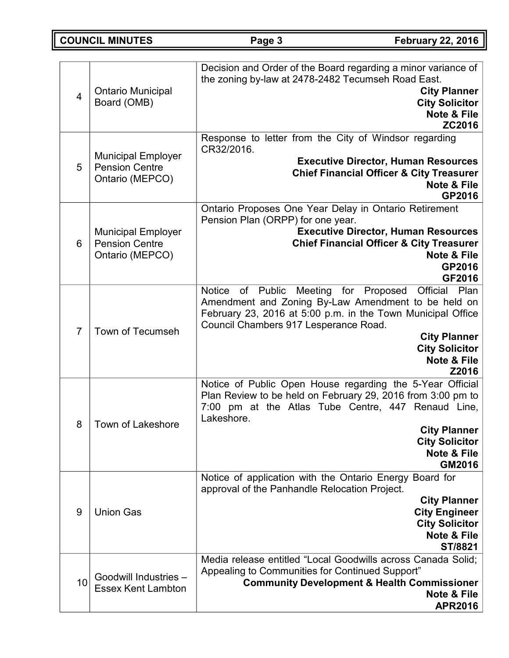**COUNCIL MINUTES Page 3 February 22, 2016**

| $\overline{4}$ | <b>Ontario Municipal</b><br>Board (OMB)                               | Decision and Order of the Board regarding a minor variance of<br>the zoning by-law at 2478-2482 Tecumseh Road East.<br><b>City Planner</b><br><b>City Solicitor</b><br><b>Note &amp; File</b><br>ZC2016                                                                                                  |
|----------------|-----------------------------------------------------------------------|----------------------------------------------------------------------------------------------------------------------------------------------------------------------------------------------------------------------------------------------------------------------------------------------------------|
| 5              | <b>Municipal Employer</b><br><b>Pension Centre</b><br>Ontario (MEPCO) | Response to letter from the City of Windsor regarding<br>CR32/2016.<br><b>Executive Director, Human Resources</b><br><b>Chief Financial Officer &amp; City Treasurer</b><br><b>Note &amp; File</b><br>GP2016                                                                                             |
| 6              | <b>Municipal Employer</b><br><b>Pension Centre</b><br>Ontario (MEPCO) | Ontario Proposes One Year Delay in Ontario Retirement<br>Pension Plan (ORPP) for one year.<br><b>Executive Director, Human Resources</b><br><b>Chief Financial Officer &amp; City Treasurer</b><br><b>Note &amp; File</b><br>GP2016<br>GF2016                                                            |
| $\overline{7}$ | <b>Town of Tecumseh</b>                                               | Notice of Public<br>Meeting for Proposed Official Plan<br>Amendment and Zoning By-Law Amendment to be held on<br>February 23, 2016 at 5:00 p.m. in the Town Municipal Office<br>Council Chambers 917 Lesperance Road.<br><b>City Planner</b><br><b>City Solicitor</b><br><b>Note &amp; File</b><br>Z2016 |
| 8              | <b>Town of Lakeshore</b>                                              | Notice of Public Open House regarding the 5-Year Official<br>Plan Review to be held on February 29, 2016 from 3:00 pm to<br>7:00 pm at the Atlas Tube Centre, 447 Renaud Line,<br>Lakeshore.<br><b>City Planner</b><br><b>City Solicitor</b><br><b>Note &amp; File</b><br>GM2016                         |
| 9              | <b>Union Gas</b>                                                      | Notice of application with the Ontario Energy Board for<br>approval of the Panhandle Relocation Project.<br><b>City Planner</b><br><b>City Engineer</b><br><b>City Solicitor</b><br><b>Note &amp; File</b><br>ST/8821                                                                                    |
| 10             | Goodwill Industries -<br><b>Essex Kent Lambton</b>                    | Media release entitled "Local Goodwills across Canada Solid;<br>Appealing to Communities for Continued Support"<br><b>Community Development &amp; Health Commissioner</b><br><b>Note &amp; File</b><br><b>APR2016</b>                                                                                    |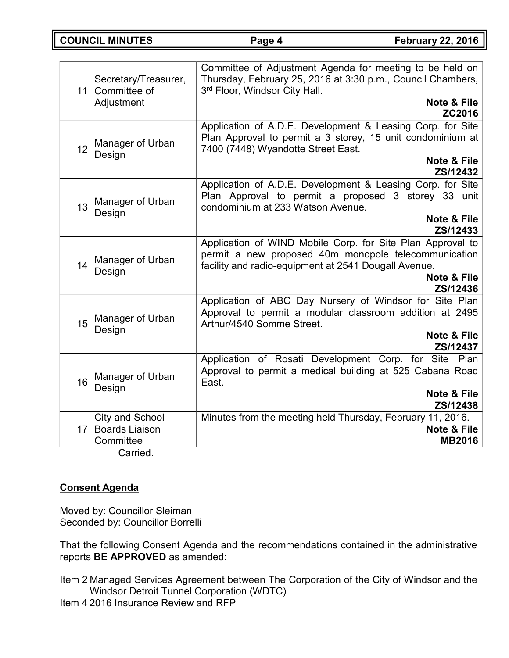**COUNCIL MINUTES Page 4 February 22, 2016**

| Secretary/Treasurer,<br>11 Committee of<br>Adjustment | Committee of Adjustment Agenda for meeting to be held on<br>Thursday, February 25, 2016 at 3:30 p.m., Council Chambers,<br>3rd Floor, Windsor City Hall.<br><b>Note &amp; File</b>       |
|-------------------------------------------------------|------------------------------------------------------------------------------------------------------------------------------------------------------------------------------------------|
|                                                       | ZC2016                                                                                                                                                                                   |
| Manager of Urban<br>12<br>Design                      | Application of A.D.E. Development & Leasing Corp. for Site<br>Plan Approval to permit a 3 storey, 15 unit condominium at<br>7400 (7448) Wyandotte Street East.<br><b>Note &amp; File</b> |
|                                                       | ZS/12432                                                                                                                                                                                 |
| Manager of Urban<br>13<br>Design                      | Application of A.D.E. Development & Leasing Corp. for Site<br>Plan Approval to permit a proposed 3 storey 33 unit<br>condominium at 233 Watson Avenue.                                   |
|                                                       | <b>Note &amp; File</b><br>ZS/12433                                                                                                                                                       |
| Manager of Urban<br>14<br>Design                      | Application of WIND Mobile Corp. for Site Plan Approval to<br>permit a new proposed 40m monopole telecommunication<br>facility and radio-equipment at 2541 Dougall Avenue.               |
|                                                       | <b>Note &amp; File</b><br>ZS/12436                                                                                                                                                       |
| Manager of Urban<br>15<br>Design                      | Application of ABC Day Nursery of Windsor for Site Plan<br>Approval to permit a modular classroom addition at 2495<br>Arthur/4540 Somme Street.                                          |
|                                                       | <b>Note &amp; File</b><br>ZS/12437                                                                                                                                                       |
| Manager of Urban<br>16<br>Design                      | Application of Rosati Development Corp. for Site Plan<br>Approval to permit a medical building at 525 Cabana Road<br>East.                                                               |
|                                                       | <b>Note &amp; File</b><br>ZS/12438                                                                                                                                                       |
| City and School                                       | Minutes from the meeting held Thursday, February 11, 2016.                                                                                                                               |
| <b>Boards Liaison</b><br>17 <sup>1</sup><br>Committee | <b>Note &amp; File</b><br><b>MB2016</b>                                                                                                                                                  |
| Carried.                                              |                                                                                                                                                                                          |

# **Consent Agenda**

Moved by: Councillor Sleiman Seconded by: Councillor Borrelli

That the following Consent Agenda and the recommendations contained in the administrative reports **BE APPROVED** as amended:

Item 2 Managed Services Agreement between The Corporation of the City of Windsor and the Windsor Detroit Tunnel Corporation (WDTC) Item 4 2016 Insurance Review and RFP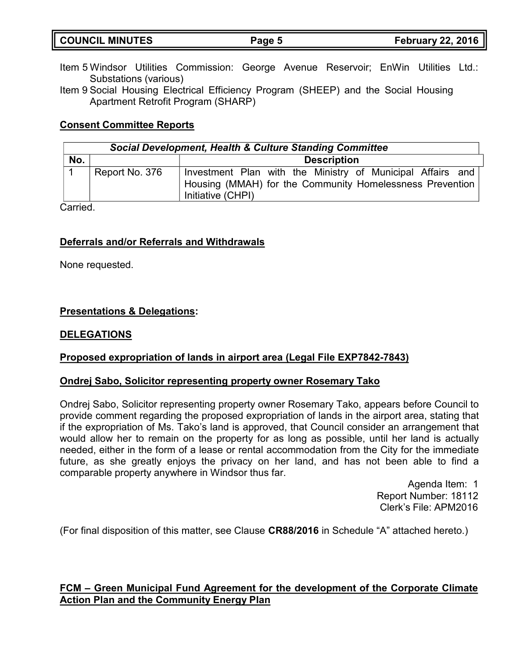| <b>COUNCIL MINUTES</b> | Page 5 | <b>February 22, 2016</b> |
|------------------------|--------|--------------------------|
|                        |        |                          |

- Item 5 Windsor Utilities Commission: George Avenue Reservoir; EnWin Utilities Ltd.: Substations (various)
- Item 9 Social Housing Electrical Efficiency Program (SHEEP) and the Social Housing Apartment Retrofit Program (SHARP)

### **Consent Committee Reports**

| Social Development, Health & Culture Standing Committee |                |                                                                                                                                             |  |
|---------------------------------------------------------|----------------|---------------------------------------------------------------------------------------------------------------------------------------------|--|
| No.                                                     |                | <b>Description</b>                                                                                                                          |  |
|                                                         | Report No. 376 | Investment Plan with the Ministry of Municipal Affairs and<br>Housing (MMAH) for the Community Homelessness Prevention<br>Initiative (CHPI) |  |

Carried.

### **Deferrals and/or Referrals and Withdrawals**

None requested.

# **Presentations & Delegations:**

#### **DELEGATIONS**

#### **Proposed expropriation of lands in airport area (Legal File EXP7842-7843)**

#### **Ondrej Sabo, Solicitor representing property owner Rosemary Tako**

Ondrej Sabo, Solicitor representing property owner Rosemary Tako, appears before Council to provide comment regarding the proposed expropriation of lands in the airport area, stating that if the expropriation of Ms. Tako's land is approved, that Council consider an arrangement that would allow her to remain on the property for as long as possible, until her land is actually needed, either in the form of a lease or rental accommodation from the City for the immediate future, as she greatly enjoys the privacy on her land, and has not been able to find a comparable property anywhere in Windsor thus far.

> Agenda Item: 1 Report Number: 18112 Clerk's File: APM2016

(For final disposition of this matter, see Clause **CR88/2016** in Schedule "A" attached hereto.)

### **FCM – Green Municipal Fund Agreement for the development of the Corporate Climate Action Plan and the Community Energy Plan**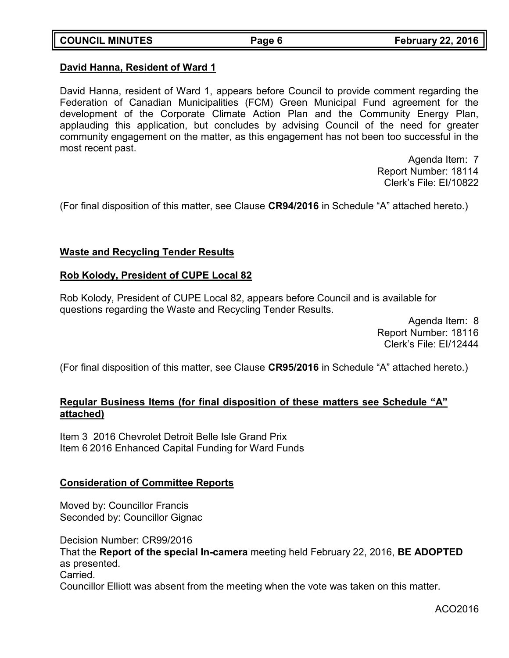### **David Hanna, Resident of Ward 1**

David Hanna, resident of Ward 1, appears before Council to provide comment regarding the Federation of Canadian Municipalities (FCM) Green Municipal Fund agreement for the development of the Corporate Climate Action Plan and the Community Energy Plan, applauding this application, but concludes by advising Council of the need for greater community engagement on the matter, as this engagement has not been too successful in the most recent past.

> Agenda Item: 7 Report Number: 18114 Clerk's File: EI/10822

(For final disposition of this matter, see Clause **CR94/2016** in Schedule "A" attached hereto.)

#### **Waste and Recycling Tender Results**

#### **Rob Kolody, President of CUPE Local 82**

Rob Kolody, President of CUPE Local 82, appears before Council and is available for questions regarding the Waste and Recycling Tender Results.

> Agenda Item: 8 Report Number: 18116 Clerk's File: EI/12444

(For final disposition of this matter, see Clause **CR95/2016** in Schedule "A" attached hereto.)

# **Regular Business Items (for final disposition of these matters see Schedule "A" attached)**

Item 3 2016 Chevrolet Detroit Belle Isle Grand Prix Item 6 2016 Enhanced Capital Funding for Ward Funds

# **Consideration of Committee Reports**

Moved by: Councillor Francis Seconded by: Councillor Gignac

Decision Number: CR99/2016 That the **Report of the special In-camera** meeting held February 22, 2016, **BE ADOPTED** as presented. Carried. Councillor Elliott was absent from the meeting when the vote was taken on this matter.

ACO2016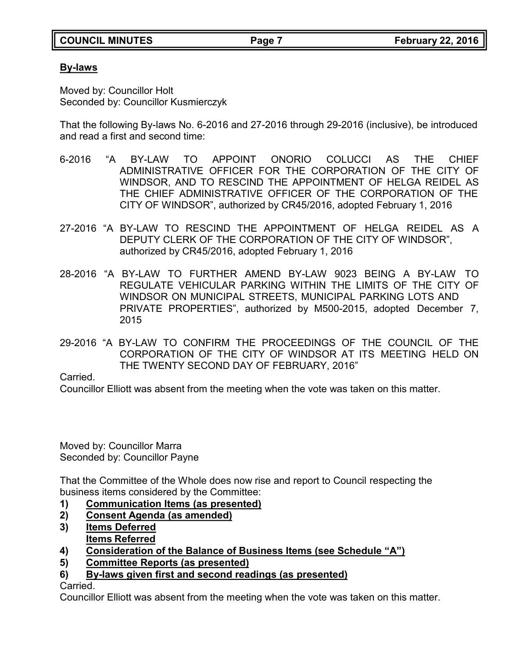# **By-laws**

Moved by: Councillor Holt Seconded by: Councillor Kusmierczyk

That the following By-laws No. 6-2016 and 27-2016 through 29-2016 (inclusive), be introduced and read a first and second time:

- 6-2016 "A BY-LAW TO APPOINT ONORIO COLUCCI AS THE CHIEF ADMINISTRATIVE OFFICER FOR THE CORPORATION OF THE CITY OF WINDSOR, AND TO RESCIND THE APPOINTMENT OF HELGA REIDEL AS THE CHIEF ADMINISTRATIVE OFFICER OF THE CORPORATION OF THE CITY OF WINDSOR", authorized by CR45/2016, adopted February 1, 2016
- 27-2016 "A BY-LAW TO RESCIND THE APPOINTMENT OF HELGA REIDEL AS A DEPUTY CLERK OF THE CORPORATION OF THE CITY OF WINDSOR", authorized by CR45/2016, adopted February 1, 2016
- 28-2016 "A BY-LAW TO FURTHER AMEND BY-LAW 9023 BEING A BY-LAW TO REGULATE VEHICULAR PARKING WITHIN THE LIMITS OF THE CITY OF WINDSOR ON MUNICIPAL STREETS, MUNICIPAL PARKING LOTS AND PRIVATE PROPERTIES", authorized by M500-2015, adopted December 7, 2015
- 29-2016 "A BY-LAW TO CONFIRM THE PROCEEDINGS OF THE COUNCIL OF THE CORPORATION OF THE CITY OF WINDSOR AT ITS MEETING HELD ON THE TWENTY SECOND DAY OF FEBRUARY, 2016"

Carried.

Councillor Elliott was absent from the meeting when the vote was taken on this matter.

Moved by: Councillor Marra Seconded by: Councillor Payne

That the Committee of the Whole does now rise and report to Council respecting the business items considered by the Committee:

- **1) Communication Items (as presented)**
- **2) Consent Agenda (as amended)**
- **3) Items Deferred Items Referred**
- **4) Consideration of the Balance of Business Items (see Schedule "A")**
- **5) Committee Reports (as presented)**
- **6) By-laws given first and second readings (as presented)**

Carried.

Councillor Elliott was absent from the meeting when the vote was taken on this matter.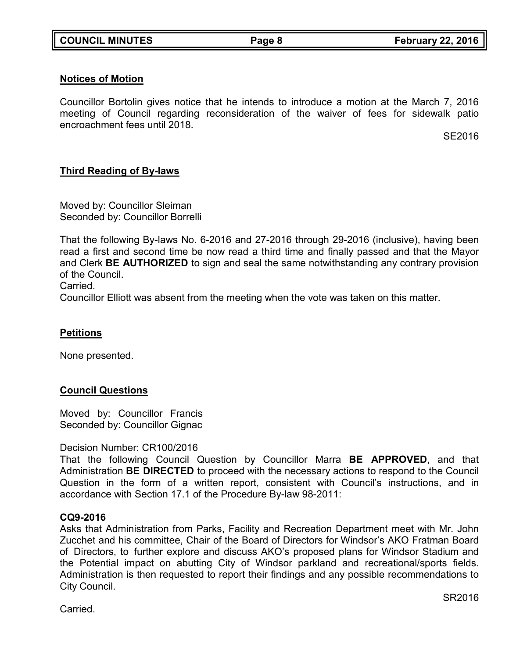### **Notices of Motion**

Councillor Bortolin gives notice that he intends to introduce a motion at the March 7, 2016 meeting of Council regarding reconsideration of the waiver of fees for sidewalk patio encroachment fees until 2018.

SE2016

# **Third Reading of By-laws**

Moved by: Councillor Sleiman Seconded by: Councillor Borrelli

That the following By-laws No. 6-2016 and 27-2016 through 29-2016 (inclusive), having been read a first and second time be now read a third time and finally passed and that the Mayor and Clerk **BE AUTHORIZED** to sign and seal the same notwithstanding any contrary provision of the Council.

Carried.

Councillor Elliott was absent from the meeting when the vote was taken on this matter.

# **Petitions**

None presented.

# **Council Questions**

Moved by: Councillor Francis Seconded by: Councillor Gignac

#### Decision Number: CR100/2016

That the following Council Question by Councillor Marra **BE APPROVED**, and that Administration **BE DIRECTED** to proceed with the necessary actions to respond to the Council Question in the form of a written report, consistent with Council's instructions, and in accordance with Section 17.1 of the Procedure By-law 98-2011:

#### **CQ9-2016**

Asks that Administration from Parks, Facility and Recreation Department meet with Mr. John Zucchet and his committee, Chair of the Board of Directors for Windsor's AKO Fratman Board of Directors, to further explore and discuss AKO's proposed plans for Windsor Stadium and the Potential impact on abutting City of Windsor parkland and recreational/sports fields. Administration is then requested to report their findings and any possible recommendations to City Council.

Carried.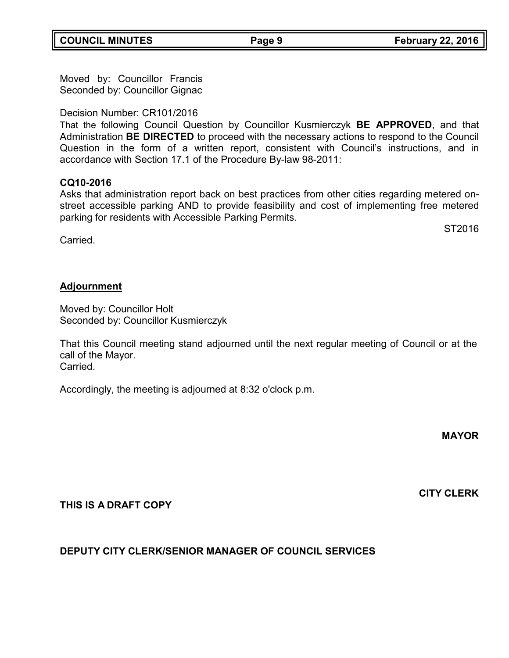**COUNCIL MINUTES Page 9 February 22, 2016**

Moved by: Councillor Francis Seconded by: Councillor Gignac

Decision Number: CR101/2016

That the following Council Question by Councillor Kusmierczyk **BE APPROVED**, and that Administration **BE DIRECTED** to proceed with the necessary actions to respond to the Council Question in the form of a written report, consistent with Council's instructions, and in accordance with Section 17.1 of the Procedure By-law 98-2011:

# **CQ10-2016**

Asks that administration report back on best practices from other cities regarding metered onstreet accessible parking AND to provide feasibility and cost of implementing free metered parking for residents with Accessible Parking Permits.

Carried.

### **Adjournment**

Moved by: Councillor Holt Seconded by: Councillor Kusmierczyk

That this Council meeting stand adjourned until the next regular meeting of Council or at the call of the Mayor. Carried.

Accordingly, the meeting is adjourned at 8:32 o'clock p.m.

**MAYOR**

**THIS IS A DRAFT COPY**

# **DEPUTY CITY CLERK/SENIOR MANAGER OF COUNCIL SERVICES**



ST2016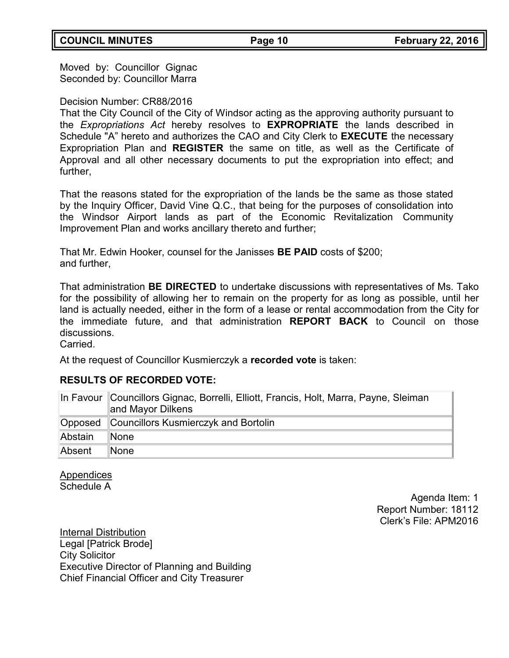Moved by: Councillor Gignac Seconded by: Councillor Marra

### Decision Number: CR88/2016

That the City Council of the City of Windsor acting as the approving authority pursuant to the *Expropriations Act* hereby resolves to **EXPROPRIATE** the lands described in Schedule "A" hereto and authorizes the CAO and City Clerk to **EXECUTE** the necessary Expropriation Plan and **REGISTER** the same on title, as well as the Certificate of Approval and all other necessary documents to put the expropriation into effect; and further,

That the reasons stated for the expropriation of the lands be the same as those stated by the Inquiry Officer, David Vine Q.C., that being for the purposes of consolidation into the Windsor Airport lands as part of the Economic Revitalization Community Improvement Plan and works ancillary thereto and further;

That Mr. Edwin Hooker, counsel for the Janisses **BE PAID** costs of \$200; and further,

That administration **BE DIRECTED** to undertake discussions with representatives of Ms. Tako for the possibility of allowing her to remain on the property for as long as possible, until her land is actually needed, either in the form of a lease or rental accommodation from the City for the immediate future, and that administration **REPORT BACK** to Council on those discussions.

Carried.

At the request of Councillor Kusmierczyk a **recorded vote** is taken:

# **RESULTS OF RECORDED VOTE:**

|         | In Favour Councillors Gignac, Borrelli, Elliott, Francis, Holt, Marra, Payne, Sleiman<br>and Mayor Dilkens |
|---------|------------------------------------------------------------------------------------------------------------|
|         | Opposed Councillors Kusmierczyk and Bortolin                                                               |
| Abstain | ∥None                                                                                                      |
| Absent  | None                                                                                                       |

**Appendices** Schedule A

> Agenda Item: 1 Report Number: 18112 Clerk's File: APM2016

Internal Distribution Legal [Patrick Brode] City Solicitor Executive Director of Planning and Building Chief Financial Officer and City Treasurer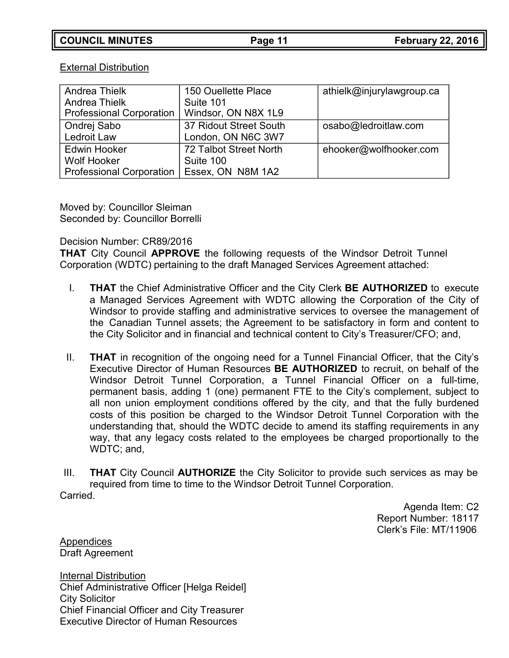#### External Distribution

| <b>Andrea Thielk</b>            | 150 Ouellette Place    | athielk@injurylawgroup.ca |
|---------------------------------|------------------------|---------------------------|
| <b>Andrea Thielk</b>            | Suite 101              |                           |
| <b>Professional Corporation</b> | Windsor, ON N8X 1L9    |                           |
| Ondrej Sabo                     | 37 Ridout Street South | osabo@ledroitlaw.com      |
| Ledroit Law                     | London, ON N6C 3W7     |                           |
| <b>Edwin Hooker</b>             | 72 Talbot Street North | ehooker@wolfhooker.com    |
| <b>Wolf Hooker</b>              | Suite 100              |                           |
| Professional Corporation        | Essex, ON N8M 1A2      |                           |

Moved by: Councillor Sleiman Seconded by: Councillor Borrelli

### Decision Number: CR89/2016

**THAT** City Council **APPROVE** the following requests of the Windsor Detroit Tunnel Corporation (WDTC) pertaining to the draft Managed Services Agreement attached:

- I. **THAT** the Chief Administrative Officer and the City Clerk **BE AUTHORIZED** to execute a Managed Services Agreement with WDTC allowing the Corporation of the City of Windsor to provide staffing and administrative services to oversee the management of the Canadian Tunnel assets; the Agreement to be satisfactory in form and content to the City Solicitor and in financial and technical content to City's Treasurer/CFO; and,
- II. **THAT** in recognition of the ongoing need for a Tunnel Financial Officer, that the City's Executive Director of Human Resources **BE AUTHORIZED** to recruit, on behalf of the Windsor Detroit Tunnel Corporation, a Tunnel Financial Officer on a full-time, permanent basis, adding 1 (one) permanent FTE to the City's complement, subject to all non union employment conditions offered by the city, and that the fully burdened costs of this position be charged to the Windsor Detroit Tunnel Corporation with the understanding that, should the WDTC decide to amend its staffing requirements in any way, that any legacy costs related to the employees be charged proportionally to the WDTC; and,
- III. **THAT** City Council **AUTHORIZE** the City Solicitor to provide such services as may be required from time to time to the Windsor Detroit Tunnel Corporation.

Carried.

Agenda Item: C2 Report Number: 18117 Clerk's File: MT/11906

Appendices Draft Agreement

Internal Distribution Chief Administrative Officer [Helga Reidel] City Solicitor Chief Financial Officer and City Treasurer Executive Director of Human Resources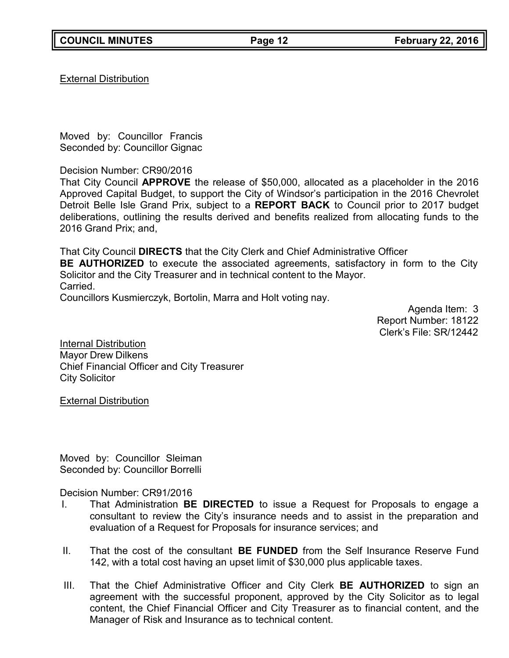External Distribution

Moved by: Councillor Francis Seconded by: Councillor Gignac

Decision Number: CR90/2016

That City Council **APPROVE** the release of \$50,000, allocated as a placeholder in the 2016 Approved Capital Budget, to support the City of Windsor's participation in the 2016 Chevrolet Detroit Belle Isle Grand Prix, subject to a **REPORT BACK** to Council prior to 2017 budget deliberations, outlining the results derived and benefits realized from allocating funds to the 2016 Grand Prix; and,

That City Council **DIRECTS** that the City Clerk and Chief Administrative Officer **BE AUTHORIZED** to execute the associated agreements, satisfactory in form to the City Solicitor and the City Treasurer and in technical content to the Mayor. Carried. Councillors Kusmierczyk, Bortolin, Marra and Holt voting nay.

> Agenda Item: 3 Report Number: 18122 Clerk's File: SR/12442

Internal Distribution Mayor Drew Dilkens Chief Financial Officer and City Treasurer City Solicitor

External Distribution

Moved by: Councillor Sleiman Seconded by: Councillor Borrelli

Decision Number: CR91/2016

- I. That Administration **BE DIRECTED** to issue a Request for Proposals to engage a consultant to review the City's insurance needs and to assist in the preparation and evaluation of a Request for Proposals for insurance services; and
- II. That the cost of the consultant **BE FUNDED** from the Self Insurance Reserve Fund 142, with a total cost having an upset limit of \$30,000 plus applicable taxes.
- III. That the Chief Administrative Officer and City Clerk **BE AUTHORIZED** to sign an agreement with the successful proponent, approved by the City Solicitor as to legal content, the Chief Financial Officer and City Treasurer as to financial content, and the Manager of Risk and Insurance as to technical content.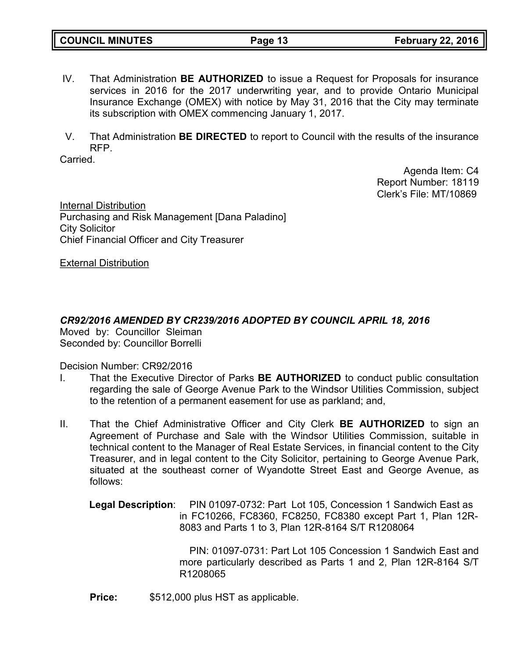| <b>COUNCIL MINUTES</b> | Page 13 | <b>February 22, 2016</b> |
|------------------------|---------|--------------------------|
|                        |         |                          |

- IV. That Administration **BE AUTHORIZED** to issue a Request for Proposals for insurance services in 2016 for the 2017 underwriting year, and to provide Ontario Municipal Insurance Exchange (OMEX) with notice by May 31, 2016 that the City may terminate its subscription with OMEX commencing January 1, 2017.
- V. That Administration **BE DIRECTED** to report to Council with the results of the insurance RFP.

Carried.

Agenda Item: C4 Report Number: 18119 Clerk's File: MT/10869

Internal Distribution Purchasing and Risk Management [Dana Paladino] City Solicitor Chief Financial Officer and City Treasurer

External Distribution

*CR92/2016 AMENDED BY CR239/2016 ADOPTED BY COUNCIL APRIL 18, 2016* Moved by: Councillor Sleiman Seconded by: Councillor Borrelli

Decision Number: CR92/2016

- I. That the Executive Director of Parks **BE AUTHORIZED** to conduct public consultation regarding the sale of George Avenue Park to the Windsor Utilities Commission, subject to the retention of a permanent easement for use as parkland; and,
- II. That the Chief Administrative Officer and City Clerk **BE AUTHORIZED** to sign an Agreement of Purchase and Sale with the Windsor Utilities Commission, suitable in technical content to the Manager of Real Estate Services, in financial content to the City Treasurer, and in legal content to the City Solicitor, pertaining to George Avenue Park, situated at the southeast corner of Wyandotte Street East and George Avenue, as follows:
	- **Legal Description**: PIN 01097-0732: Part Lot 105, Concession 1 Sandwich East as in FC10266, FC8360, FC8250, FC8380 except Part 1, Plan 12R-8083 and Parts 1 to 3, Plan 12R-8164 S/T R1208064

PIN: 01097-0731: Part Lot 105 Concession 1 Sandwich East and more particularly described as Parts 1 and 2, Plan 12R-8164 S/T R1208065

**Price:** \$512,000 plus HST as applicable.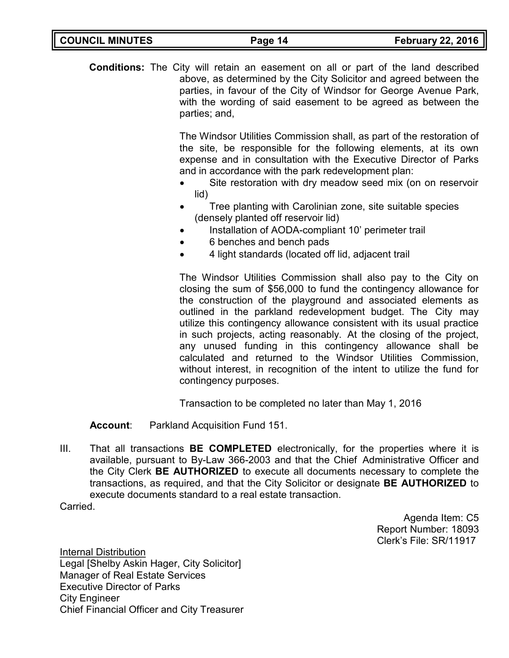| <b>COUNCIL MINUTES</b> | Page 14 | <b>February 22, 2016</b> |
|------------------------|---------|--------------------------|
|                        |         |                          |

**Conditions:** The City will retain an easement on all or part of the land described above, as determined by the City Solicitor and agreed between the parties, in favour of the City of Windsor for George Avenue Park, with the wording of said easement to be agreed as between the parties; and,

> The Windsor Utilities Commission shall, as part of the restoration of the site, be responsible for the following elements, at its own expense and in consultation with the Executive Director of Parks and in accordance with the park redevelopment plan:

- Site restoration with dry meadow seed mix (on on reservoir lid)
- Tree planting with Carolinian zone, site suitable species (densely planted off reservoir lid)
- Installation of AODA-compliant 10' perimeter trail
- 6 benches and bench pads
- 4 light standards (located off lid, adjacent trail

The Windsor Utilities Commission shall also pay to the City on closing the sum of \$56,000 to fund the contingency allowance for the construction of the playground and associated elements as outlined in the parkland redevelopment budget. The City may utilize this contingency allowance consistent with its usual practice in such projects, acting reasonably. At the closing of the project, any unused funding in this contingency allowance shall be calculated and returned to the Windsor Utilities Commission, without interest, in recognition of the intent to utilize the fund for contingency purposes.

Transaction to be completed no later than May 1, 2016

**Account**: Parkland Acquisition Fund 151.

III. That all transactions **BE COMPLETED** electronically, for the properties where it is available, pursuant to By-Law 366-2003 and that the Chief Administrative Officer and the City Clerk **BE AUTHORIZED** to execute all documents necessary to complete the transactions, as required, and that the City Solicitor or designate **BE AUTHORIZED** to execute documents standard to a real estate transaction.

Carried.

Agenda Item: C5 Report Number: 18093 Clerk's File: SR/11917

Internal Distribution Legal [Shelby Askin Hager, City Solicitor] Manager of Real Estate Services Executive Director of Parks City Engineer Chief Financial Officer and City Treasurer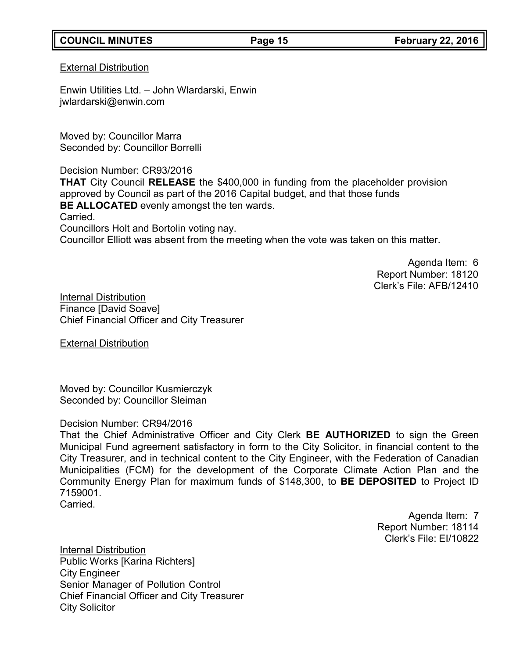# **COUNCIL MINUTES Page 15 February 22, 2016**

#### External Distribution

Enwin Utilities Ltd. – John Wlardarski, Enwin [jwlardarski@enwin.com](mailto:jwlardarski@enwin.com)

Moved by: Councillor Marra Seconded by: Councillor Borrelli

Decision Number: CR93/2016

**THAT** City Council **RELEASE** the \$400,000 in funding from the placeholder provision approved by Council as part of the 2016 Capital budget, and that those funds **BE ALLOCATED** evenly amongst the ten wards.

Carried.

Councillors Holt and Bortolin voting nay. Councillor Elliott was absent from the meeting when the vote was taken on this matter.

> Agenda Item: 6 Report Number: 18120 Clerk's File: AFB/12410

Internal Distribution Finance [David Soave] Chief Financial Officer and City Treasurer

External Distribution

Moved by: Councillor Kusmierczyk Seconded by: Councillor Sleiman

# Decision Number: CR94/2016

That the Chief Administrative Officer and City Clerk **BE AUTHORIZED** to sign the Green Municipal Fund agreement satisfactory in form to the City Solicitor, in financial content to the City Treasurer, and in technical content to the City Engineer, with the Federation of Canadian Municipalities (FCM) for the development of the Corporate Climate Action Plan and the Community Energy Plan for maximum funds of \$148,300, to **BE DEPOSITED** to Project ID 7159001.

Carried.

Agenda Item: 7 Report Number: 18114 Clerk's File: EI/10822

Internal Distribution Public Works [Karina Richters] City Engineer Senior Manager of Pollution Control Chief Financial Officer and City Treasurer City Solicitor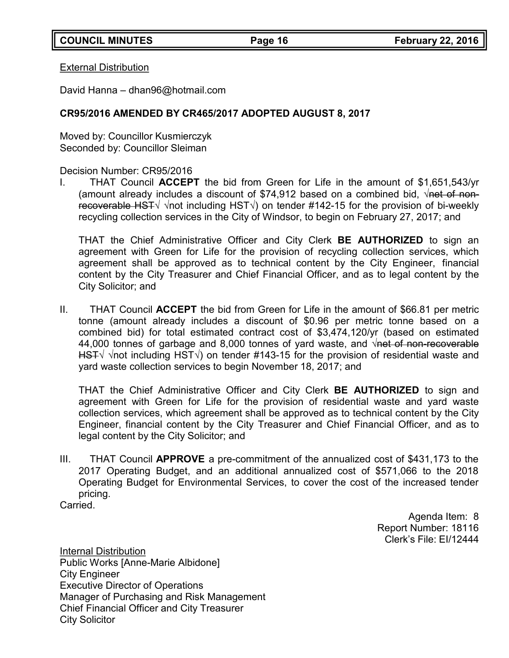External Distribution

David Hanna – [dhan96@hotmail.com](mailto:dhan96@hotmail.com)

# **CR95/2016 AMENDED BY CR465/2017 ADOPTED AUGUST 8, 2017**

Moved by: Councillor Kusmierczyk Seconded by: Councillor Sleiman

Decision Number: CR95/2016

I. THAT Council **ACCEPT** the bid from Green for Life in the amount of \$1,651,543/yr (amount already includes a discount of \$74,912 based on a combined bid,  $\sqrt{net of non-}$ recoverable HST√ √not including HST√) on tender #142-15 for the provision of bi-weekly recycling collection services in the City of Windsor, to begin on February 27, 2017; and

THAT the Chief Administrative Officer and City Clerk **BE AUTHORIZED** to sign an agreement with Green for Life for the provision of recycling collection services, which agreement shall be approved as to technical content by the City Engineer, financial content by the City Treasurer and Chief Financial Officer, and as to legal content by the City Solicitor; and

II. THAT Council **ACCEPT** the bid from Green for Life in the amount of \$66.81 per metric tonne (amount already includes a discount of \$0.96 per metric tonne based on a combined bid) for total estimated contract cost of \$3,474,120/yr (based on estimated 44,000 tonnes of garbage and 8,000 tonnes of yard waste, and  $\sqrt{net of non-recoverable}$ HST√ √not including HST√) on tender #143-15 for the provision of residential waste and yard waste collection services to begin November 18, 2017; and

THAT the Chief Administrative Officer and City Clerk **BE AUTHORIZED** to sign and agreement with Green for Life for the provision of residential waste and yard waste collection services, which agreement shall be approved as to technical content by the City Engineer, financial content by the City Treasurer and Chief Financial Officer, and as to legal content by the City Solicitor; and

III. THAT Council **APPROVE** a pre-commitment of the annualized cost of \$431,173 to the 2017 Operating Budget, and an additional annualized cost of \$571,066 to the 2018 Operating Budget for Environmental Services, to cover the cost of the increased tender pricing.

**Carried** 

Agenda Item: 8 Report Number: 18116 Clerk's File: EI/12444

Internal Distribution Public Works [Anne-Marie Albidone] City Engineer Executive Director of Operations Manager of Purchasing and Risk Management Chief Financial Officer and City Treasurer City Solicitor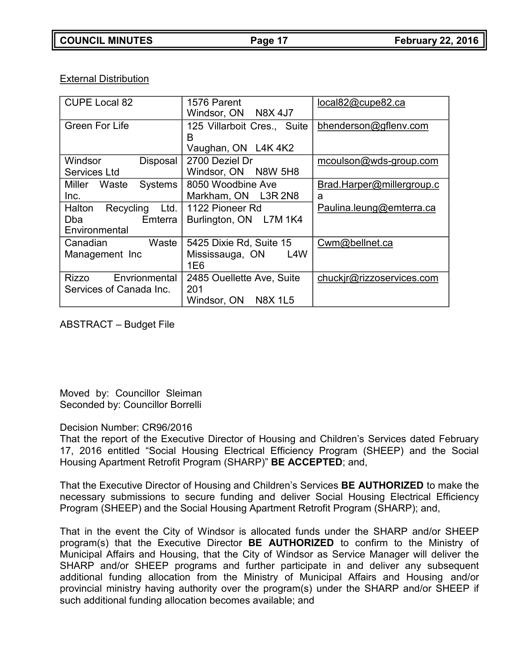External Distribution

| <b>CUPE Local 82</b>                     | 1576 Parent                         | local82@cupe82.ca         |
|------------------------------------------|-------------------------------------|---------------------------|
|                                          | Windsor, ON N8X 4J7                 |                           |
| <b>Green For Life</b>                    | 125 Villarboit Cres., Suite         | bhenderson@gflenv.com     |
|                                          | В                                   |                           |
|                                          | Vaughan, ON L4K 4K2                 |                           |
| Windsor<br><b>Disposal</b>               | 2700 Deziel Dr                      | mcoulson@wds-group.com    |
| Services Ltd                             | Windsor, ON N8W 5H8                 |                           |
| Miller Waste<br><b>Systems</b>           | 8050 Woodbine Ave                   | Brad.Harper@millergroup.c |
| Inc.                                     | Markham, ON L3R 2N8                 | a                         |
| Recycling Ltd. 1122 Pioneer Rd<br>Halton |                                     | Paulina.leung@emterra.ca  |
| <b>Dba</b><br>Emterra                    | Burlington, ON L7M 1K4              |                           |
| Environmental                            |                                     |                           |
| Waste<br>Canadian                        | 5425 Dixie Rd, Suite 15             | Cwm@bellnet.ca            |
| Management Inc                           | L <sub>4</sub> W<br>Mississauga, ON |                           |
|                                          | 1E6                                 |                           |
| Envrionmental<br>Rizzo                   | 2485 Ouellette Ave, Suite           | chuckir@rizzoservices.com |
| Services of Canada Inc.                  | 201                                 |                           |
|                                          | <b>N8X 1L5</b><br>Windsor, ON       |                           |

ABSTRACT – Budget File

Moved by: Councillor Sleiman Seconded by: Councillor Borrelli

# Decision Number: CR96/2016

That the report of the Executive Director of Housing and Children's Services dated February 17, 2016 entitled "Social Housing Electrical Efficiency Program (SHEEP) and the Social Housing Apartment Retrofit Program (SHARP)" **BE ACCEPTED**; and,

That the Executive Director of Housing and Children's Services **BE AUTHORIZED** to make the necessary submissions to secure funding and deliver Social Housing Electrical Efficiency Program (SHEEP) and the Social Housing Apartment Retrofit Program (SHARP); and,

That in the event the City of Windsor is allocated funds under the SHARP and/or SHEEP program(s) that the Executive Director **BE AUTHORIZED** to confirm to the Ministry of Municipal Affairs and Housing, that the City of Windsor as Service Manager will deliver the SHARP and/or SHEEP programs and further participate in and deliver any subsequent additional funding allocation from the Ministry of Municipal Affairs and Housing and/or provincial ministry having authority over the program(s) under the SHARP and/or SHEEP if such additional funding allocation becomes available; and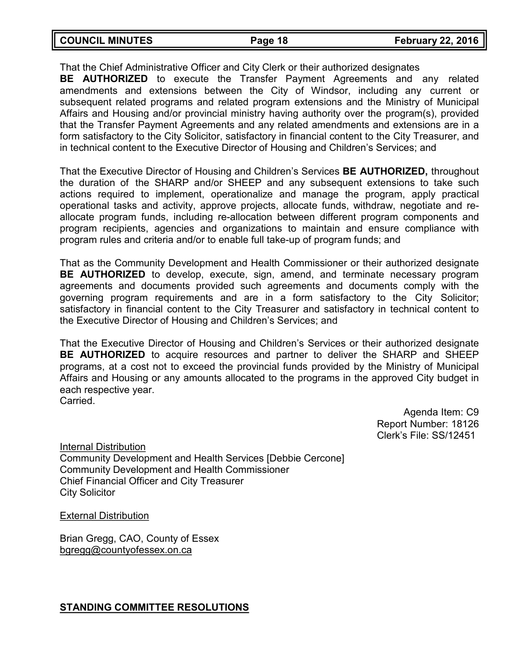| <b>COUNCIL MINUTES</b> | Page 18 | <b>February 22, 2016</b> |
|------------------------|---------|--------------------------|
|                        |         |                          |

That the Chief Administrative Officer and City Clerk or their authorized designates

**BE AUTHORIZED** to execute the Transfer Payment Agreements and any related amendments and extensions between the City of Windsor, including any current or subsequent related programs and related program extensions and the Ministry of Municipal Affairs and Housing and/or provincial ministry having authority over the program(s), provided that the Transfer Payment Agreements and any related amendments and extensions are in a form satisfactory to the City Solicitor, satisfactory in financial content to the City Treasurer, and in technical content to the Executive Director of Housing and Children's Services; and

That the Executive Director of Housing and Children's Services **BE AUTHORIZED,** throughout the duration of the SHARP and/or SHEEP and any subsequent extensions to take such actions required to implement, operationalize and manage the program, apply practical operational tasks and activity, approve projects, allocate funds, withdraw, negotiate and reallocate program funds, including re-allocation between different program components and program recipients, agencies and organizations to maintain and ensure compliance with program rules and criteria and/or to enable full take-up of program funds; and

That as the Community Development and Health Commissioner or their authorized designate **BE AUTHORIZED** to develop, execute, sign, amend, and terminate necessary program agreements and documents provided such agreements and documents comply with the governing program requirements and are in a form satisfactory to the City Solicitor; satisfactory in financial content to the City Treasurer and satisfactory in technical content to the Executive Director of Housing and Children's Services; and

That the Executive Director of Housing and Children's Services or their authorized designate **BE AUTHORIZED** to acquire resources and partner to deliver the SHARP and SHEEP programs, at a cost not to exceed the provincial funds provided by the Ministry of Municipal Affairs and Housing or any amounts allocated to the programs in the approved City budget in each respective year. Carried.

> Agenda Item: C9 Report Number: 18126 Clerk's File: SS/12451

Internal Distribution Community Development and Health Services [Debbie Cercone] Community Development and Health Commissioner Chief Financial Officer and City Treasurer City Solicitor

External Distribution

Brian Gregg, CAO, County of Essex [bgregg@countyofessex.on.ca](mailto:bgregg@countyofessex.on.ca)

**STANDING COMMITTEE RESOLUTIONS**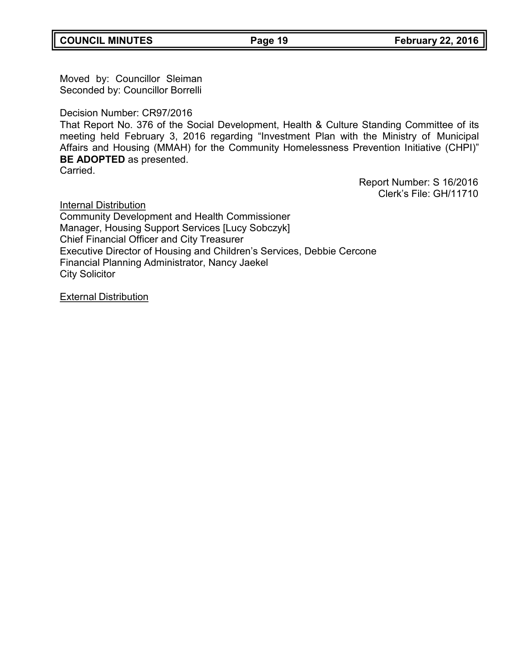Moved by: Councillor Sleiman Seconded by: Councillor Borrelli

Decision Number: CR97/2016

That Report No. 376 of the Social Development, Health & Culture Standing Committee of its meeting held February 3, 2016 regarding "Investment Plan with the Ministry of Municipal Affairs and Housing (MMAH) for the Community Homelessness Prevention Initiative (CHPI)" **BE ADOPTED** as presented.

Carried.

Report Number: S 16/2016 Clerk's File: GH/11710

**Internal Distribution** Community Development and Health Commissioner Manager, Housing Support Services [Lucy Sobczyk] Chief Financial Officer and City Treasurer Executive Director of Housing and Children's Services, Debbie Cercone Financial Planning Administrator, Nancy Jaekel City Solicitor

External Distribution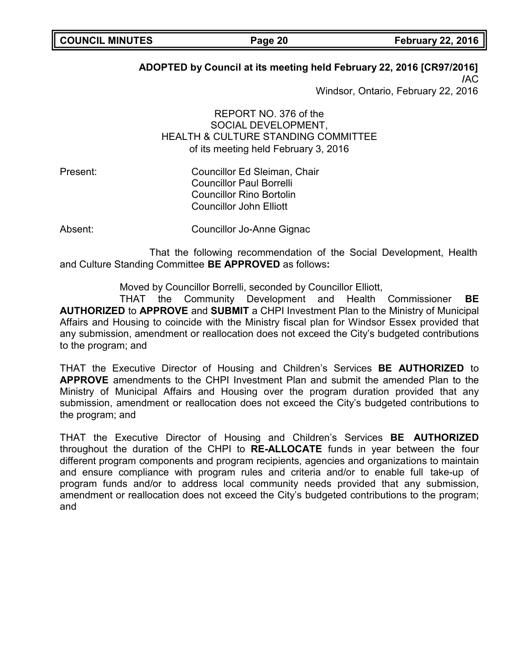# **ADOPTED by Council at its meeting held February 22, 2016 [CR97/2016]**

**/**AC Windsor, Ontario, February 22, 2016

REPORT NO. 376 of the SOCIAL DEVELOPMENT, HEALTH & CULTURE STANDING COMMITTEE of its meeting held February 3, 2016

Present: Councillor Ed Sleiman, Chair Councillor Paul Borrelli Councillor Rino Bortolin Councillor John Elliott

Absent: Councillor Jo-Anne Gignac

That the following recommendation of the Social Development, Health and Culture Standing Committee **BE APPROVED** as follows**:**

Moved by Councillor Borrelli, seconded by Councillor Elliott,

THAT the Community Development and Health Commissioner **BE AUTHORIZED** to **APPROVE** and **SUBMIT** a CHPI Investment Plan to the Ministry of Municipal Affairs and Housing to coincide with the Ministry fiscal plan for Windsor Essex provided that any submission, amendment or reallocation does not exceed the City's budgeted contributions to the program; and

THAT the Executive Director of Housing and Children's Services **BE AUTHORIZED** to **APPROVE** amendments to the CHPI Investment Plan and submit the amended Plan to the Ministry of Municipal Affairs and Housing over the program duration provided that any submission, amendment or reallocation does not exceed the City's budgeted contributions to the program; and

THAT the Executive Director of Housing and Children's Services **BE AUTHORIZED** throughout the duration of the CHPI to **RE-ALLOCATE** funds in year between the four different program components and program recipients, agencies and organizations to maintain and ensure compliance with program rules and criteria and/or to enable full take-up of program funds and/or to address local community needs provided that any submission, amendment or reallocation does not exceed the City's budgeted contributions to the program; and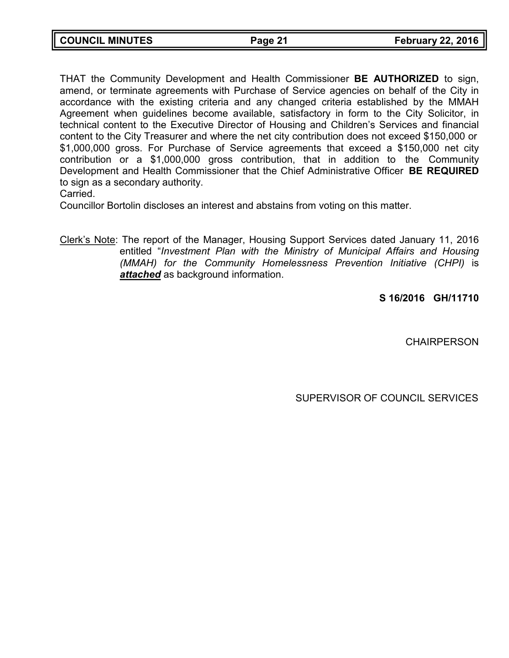| <b>COUNCIL MINUTES</b> | Page 21 | <b>February 22, 2016</b> |
|------------------------|---------|--------------------------|

THAT the Community Development and Health Commissioner **BE AUTHORIZED** to sign, amend, or terminate agreements with Purchase of Service agencies on behalf of the City in accordance with the existing criteria and any changed criteria established by the MMAH Agreement when guidelines become available, satisfactory in form to the City Solicitor, in technical content to the Executive Director of Housing and Children's Services and financial content to the City Treasurer and where the net city contribution does not exceed \$150,000 or \$1,000,000 gross. For Purchase of Service agreements that exceed a \$150,000 net city contribution or a \$1,000,000 gross contribution, that in addition to the Community Development and Health Commissioner that the Chief Administrative Officer **BE REQUIRED** to sign as a secondary authority.

Carried.

Councillor Bortolin discloses an interest and abstains from voting on this matter.

Clerk's Note: The report of the Manager, Housing Support Services dated January 11, 2016 entitled "*Investment Plan with the Ministry of Municipal Affairs and Housing (MMAH) for the Community Homelessness Prevention Initiative (CHPI)* is *attached* as background information.

**S 16/2016 GH/11710**

**CHAIRPERSON** 

SUPERVISOR OF COUNCIL SERVICES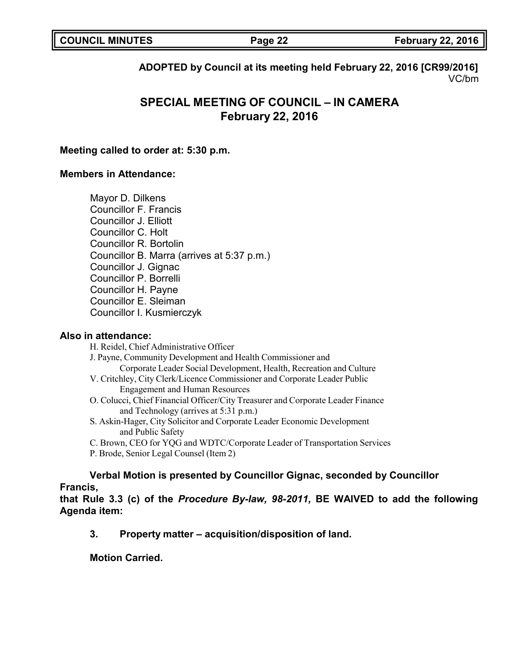|  | <b>COUNCIL MINUTES</b> |
|--|------------------------|
|--|------------------------|

**COUNCIL MINUTES Page 22 February 22, 2016**

**ADOPTED by Council at its meeting held February 22, 2016 [CR99/2016]** VC/bm

# **SPECIAL MEETING OF COUNCIL – IN CAMERA February 22, 2016**

### **Meeting called to order at: 5:30 p.m.**

### **Members in Attendance:**

Mayor D. Dilkens Councillor F. Francis Councillor J. Elliott Councillor C. Holt Councillor R. Bortolin Councillor B. Marra (arrives at 5:37 p.m.) Councillor J. Gignac Councillor P. Borrelli Councillor H. Payne Councillor E. Sleiman Councillor I. Kusmierczyk

#### **Also in attendance:**

H. Reidel, Chief Administrative Officer J. Payne, Community Development and Health Commissioner and Corporate Leader Social Development, Health, Recreation and Culture V. Critchley, City Clerk/Licence Commissioner and Corporate Leader Public Engagement and Human Resources O. Colucci, Chief Financial Officer/City Treasurer and Corporate Leader Finance and Technology (arrives at 5:31 p.m.)

- S. Askin-Hager, City Solicitor and Corporate Leader Economic Development and Public Safety
- C. Brown, CEO for YQG and WDTC/Corporate Leader of Transportation Services
- P. Brode, Senior Legal Counsel (Item 2)

**Verbal Motion is presented by Councillor Gignac, seconded by Councillor Francis,**

**that Rule 3.3 (c) of the** *Procedure By-law, 98-2011,* **BE WAIVED to add the following Agenda item:**

**3. Property matter – acquisition/disposition of land.**

**Motion Carried.**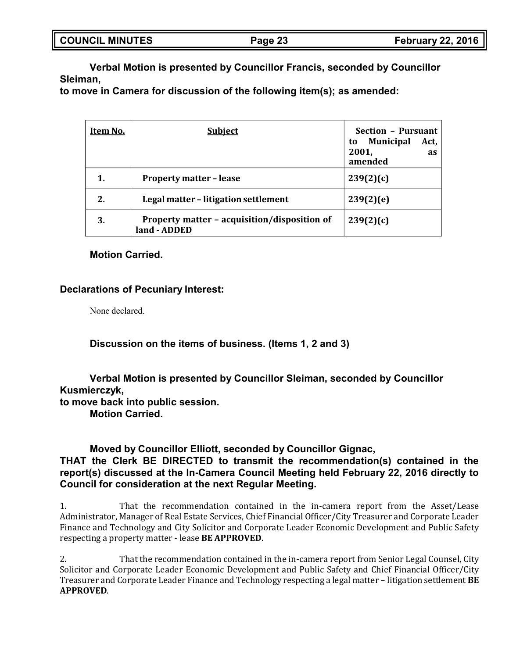| <b>SOUNCIL MINUTES</b> | Page 23 | <b>February 22, 2016</b> |
|------------------------|---------|--------------------------|
|                        |         |                          |

**Verbal Motion is presented by Councillor Francis, seconded by Councillor Sleiman,**

**to move in Camera for discussion of the following item(s); as amended:**

| Item No. | <b>Subject</b>                                               | Section - Pursuant                                              |
|----------|--------------------------------------------------------------|-----------------------------------------------------------------|
|          |                                                              | <b>Municipal</b><br>Act,<br>to<br>2001,<br><b>as</b><br>amended |
|          | <b>Property matter - lease</b>                               | 239(2)(c)                                                       |
| 2.       | Legal matter - litigation settlement                         | 239(2)(e)                                                       |
| 3.       | Property matter - acquisition/disposition of<br>land - ADDED | 239(2)(c)                                                       |

### **Motion Carried.**

#### **Declarations of Pecuniary Interest:**

None declared.

#### **Discussion on the items of business. (Items 1, 2 and 3)**

**Verbal Motion is presented by Councillor Sleiman, seconded by Councillor Kusmierczyk,**

**to move back into public session.**

**Motion Carried.**

#### **Moved by Councillor Elliott, seconded by Councillor Gignac,**

# **THAT the Clerk BE DIRECTED to transmit the recommendation(s) contained in the report(s) discussed at the In-Camera Council Meeting held February 22, 2016 directly to Council for consideration at the next Regular Meeting.**

1. That the recommendation contained in the in-camera report from the Asset/Lease Administrator, Manager of Real Estate Services, Chief Financial Officer/City Treasurer and Corporate Leader Finance and Technology and City Solicitor and Corporate Leader Economic Development and Public Safety respecting a property matter - lease **BE APPROVED**.

2. That the recommendation contained in the in-camera report from Senior Legal Counsel, City Solicitor and Corporate Leader Economic Development and Public Safety and Chief Financial Officer/City Treasurer and Corporate Leader Finance and Technology respecting a legal matter – litigation settlement **BE APPROVED**.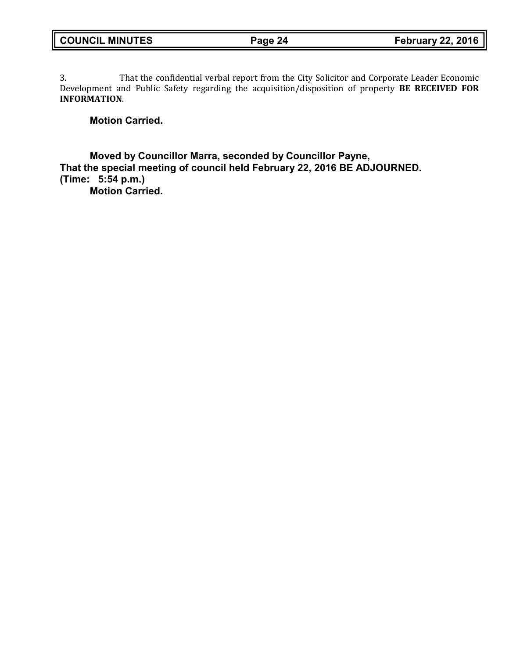3. That the confidential verbal report from the City Solicitor and Corporate Leader Economic Development and Public Safety regarding the acquisition/disposition of property **BE RECEIVED FOR INFORMATION**.

# **Motion Carried.**

**Moved by Councillor Marra, seconded by Councillor Payne, That the special meeting of council held February 22, 2016 BE ADJOURNED. (Time: 5:54 p.m.)**

**Motion Carried.**